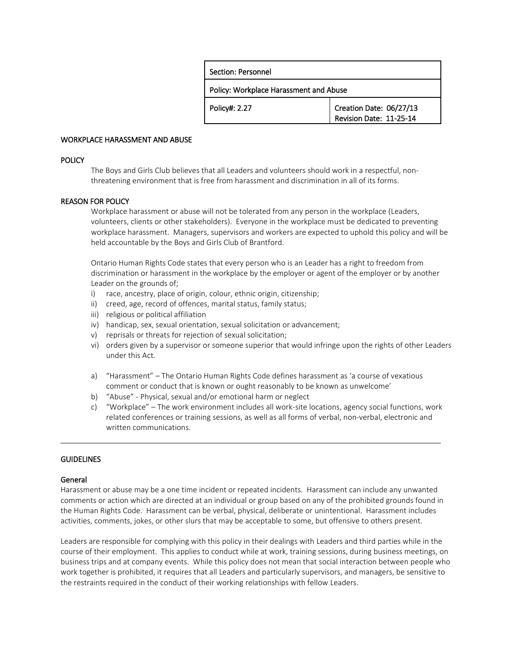| Section: Personnel                     |                                                    |
|----------------------------------------|----------------------------------------------------|
| Policy: Workplace Harassment and Abuse |                                                    |
| Policy#: 2.27                          | Creation Date: 06/27/13<br>Revision Date: 11-25-14 |

### WORKPLACE HARASSMENT AND ABUSE

### **POLICY**

The Boys and Girls Club believes that all Leaders and volunteers should work in a respectful, nonthreatening environment that is free from harassment and discrimination in all of its forms.

#### REASON FOR POLICY

Workplace harassment or abuse will not be tolerated from any person in the workplace (Leaders, volunteers, clients or other stakeholders). Everyone in the workplace must be dedicated to preventing workplace harassment. Managers, supervisors and workers are expected to uphold this policy and will be held accountable by the Boys and Girls Club of Brantford.

Ontario Human Rights Code states that every person who is an Leader has a right to freedom from discrimination or harassment in the workplace by the employer or agent of the employer or by another Leader on the grounds of;

- i) race, ancestry, place of origin, colour, ethnic origin, citizenship;
- ii) creed, age, record of offences, marital status, family status;
- iii) religious or political affiliation
- iv) handicap, sex, sexual orientation, sexual solicitation or advancement;
- v) reprisals or threats for rejection of sexual solicitation;
- vi) orders given by a supervisor or someone superior that would infringe upon the rights of other Leaders under this Act.
- a) "Harassment" The Ontario Human Rights Code defines harassment as 'a course of vexatious comment or conduct that is known or ought reasonably to be known as unwelcome'
- b) "Abuse" Physical, sexual and/or emotional harm or neglect
- c) "Workplace" The work environment includes all work-site locations, agency social functions, work related conferences or training sessions, as well as all forms of verbal, non-verbal, electronic and written communications.

## **GUIDELINES**

## General

Harassment or abuse may be a one time incident or repeated incidents. Harassment can include any unwanted comments or action which are directed at an individual or group based on any of the prohibited grounds found in the Human Rights Code. Harassment can be verbal, physical, deliberate or unintentional. Harassment includes activities, comments, jokes, or other slurs that may be acceptable to some, but offensive to others present.

Leaders are responsible for complying with this policy in their dealings with Leaders and third parties while in the course of their employment. This applies to conduct while at work, training sessions, during business meetings, on business trips and at company events. While this policy does not mean that social interaction between people who work together is prohibited, it requires that all Leaders and particularly supervisors, and managers, be sensitive to the restraints required in the conduct of their working relationships with fellow Leaders.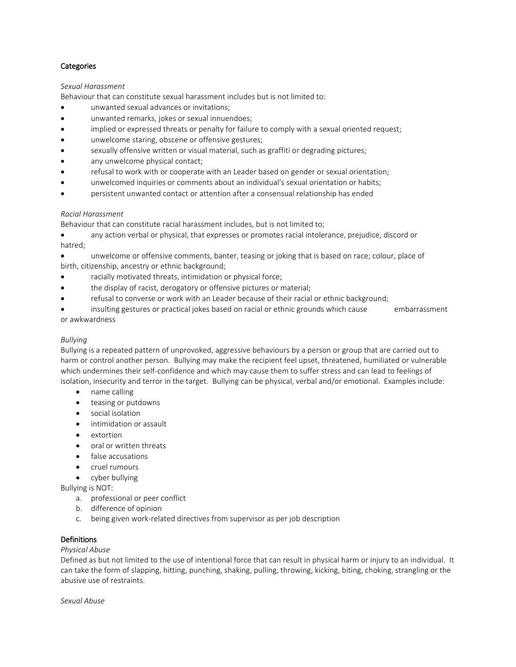## **Categories**

### *Sexual Harassment*

Behaviour that can constitute sexual harassment includes but is not limited to:

- unwanted sexual advances or invitations;
- unwanted remarks, jokes or sexual innuendoes;
- implied or expressed threats or penalty for failure to comply with a sexual oriented request;
- unwelcome staring, obscene or offensive gestures;
- sexually offensive written or visual material, such as graffiti or degrading pictures;
- any unwelcome physical contact;
- refusal to work with or cooperate with an Leader based on gender or sexual orientation;
- unwelcomed inquiries or comments about an individual's sexual orientation or habits;
- persistent unwanted contact or attention after a consensual relationship has ended

## *Racial Harassment*

Behaviour that can constitute racial harassment includes, but is not limited to;

 any action verbal or physical, that expresses or promotes racial intolerance, prejudice, discord or hatred;

 unwelcome or offensive comments, banter, teasing or joking that is based on race; colour, place of birth, citizenship, ancestry or ethnic background;

- racially motivated threats, intimidation or physical force;
- the display of racist, derogatory or offensive pictures or material;
- refusal to converse or work with an Leader because of their racial or ethnic background;

insulting gestures or practical jokes based on racial or ethnic grounds which cause embarrassment or awkwardness

## *Bullying*

Bullying is a repeated pattern of unprovoked, aggressive behaviours by a person or group that are carried out to harm or control another person. Bullying may make the recipient feel upset, threatened, humiliated or vulnerable which undermines their self-confidence and which may cause them to suffer stress and can lead to feelings of isolation, insecurity and terror in the target. Bullying can be physical, verbal and/or emotional. Examples include:

- name calling
- teasing or putdowns
- social isolation
- intimidation or assault
- extortion
- oral or written threats
- false accusations
- cruel rumours
- cyber bullying

Bullying is NOT:

- a. professional or peer conflict
- b. difference of opinion
- c. being given work-related directives from supervisor as per job description

# **Definitions**

*Physical Abuse* 

Defined as but not limited to the use of intentional force that can result in physical harm or injury to an individual. It can take the form of slapping, hitting, punching, shaking, pulling, throwing, kicking, biting, choking, strangling or the abusive use of restraints.

*Sexual Abuse*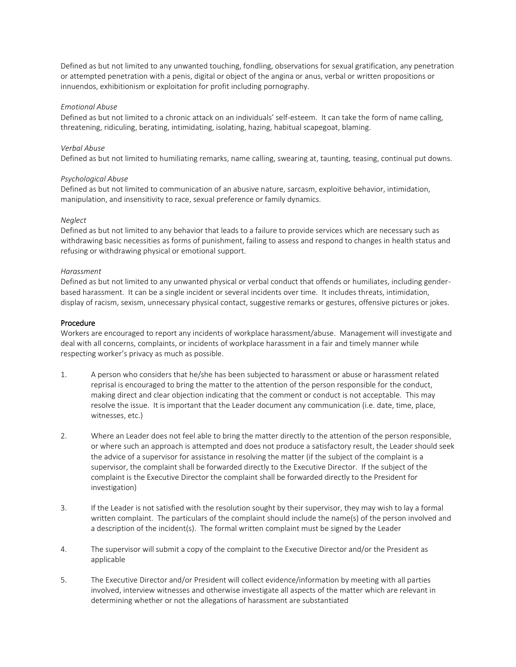Defined as but not limited to any unwanted touching, fondling, observations for sexual gratification, any penetration or attempted penetration with a penis, digital or object of the angina or anus, verbal or written propositions or innuendos, exhibitionism or exploitation for profit including pornography.

### *Emotional Abuse*

Defined as but not limited to a chronic attack on an individuals' self-esteem. It can take the form of name calling, threatening, ridiculing, berating, intimidating, isolating, hazing, habitual scapegoat, blaming.

## *Verbal Abuse*

Defined as but not limited to humiliating remarks, name calling, swearing at, taunting, teasing, continual put downs.

### *Psychological Abuse*

Defined as but not limited to communication of an abusive nature, sarcasm, exploitive behavior, intimidation, manipulation, and insensitivity to race, sexual preference or family dynamics.

### *Neglect*

Defined as but not limited to any behavior that leads to a failure to provide services which are necessary such as withdrawing basic necessities as forms of punishment, failing to assess and respond to changes in health status and refusing or withdrawing physical or emotional support.

#### *Harassment*

Defined as but not limited to any unwanted physical or verbal conduct that offends or humiliates, including genderbased harassment. It can be a single incident or several incidents over time. It includes threats, intimidation, display of racism, sexism, unnecessary physical contact, suggestive remarks or gestures, offensive pictures or jokes.

#### Procedure

Workers are encouraged to report any incidents of workplace harassment/abuse. Management will investigate and deal with all concerns, complaints, or incidents of workplace harassment in a fair and timely manner while respecting worker's privacy as much as possible.

- 1. A person who considers that he/she has been subjected to harassment or abuse or harassment related reprisal is encouraged to bring the matter to the attention of the person responsible for the conduct, making direct and clear objection indicating that the comment or conduct is not acceptable. This may resolve the issue. It is important that the Leader document any communication (i.e. date, time, place, witnesses, etc.)
- 2. Where an Leader does not feel able to bring the matter directly to the attention of the person responsible, or where such an approach is attempted and does not produce a satisfactory result, the Leader should seek the advice of a supervisor for assistance in resolving the matter (if the subject of the complaint is a supervisor, the complaint shall be forwarded directly to the Executive Director. If the subject of the complaint is the Executive Director the complaint shall be forwarded directly to the President for investigation)
- 3. If the Leader is not satisfied with the resolution sought by their supervisor, they may wish to lay a formal written complaint. The particulars of the complaint should include the name(s) of the person involved and a description of the incident(s). The formal written complaint must be signed by the Leader
- 4. The supervisor will submit a copy of the complaint to the Executive Director and/or the President as applicable
- 5. The Executive Director and/or President will collect evidence/information by meeting with all parties involved, interview witnesses and otherwise investigate all aspects of the matter which are relevant in determining whether or not the allegations of harassment are substantiated